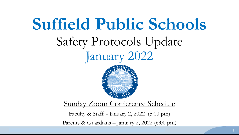# **Suffield Public Schools** Safety Protocols Update January 2022 Sunday Zoom Conference Schedule Faculty & Staff - January 2, 2022 (5:00 pm) Parents & Guardians – January 2, 2022 (6:00 pm)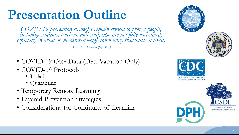## **Presentation Outline**

*COVID-19 prevention strategies remain critical to protect people,*  including students, teachers, and staff, who are not fully vaccinated, *especially in areas of moderate-to-high community transmission levels. - CDC K-12 Guidance (July 2021)*

- COVID-19 Case Data (Dec. Vacation Only)
- COVID-19 Protocols
	- Isolation
	- Quarantine
- Temporary Remote Learning
- Layered Prevention Strategies
- Considerations for Continuity of Learning

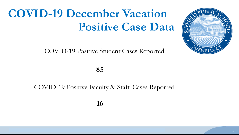## **COVID-19 December Vacation Positive Case Data**

COVID-19 Positive Student Cases Reported



#### COVID-19 Positive Faculty & Staff Cases Reported

**16**



SUFF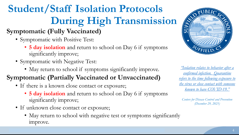## **Student/Staff Isolation Protocols During High Transmission**

### **Symptomatic (Fully Vaccinated)**

- Symptomatic with Positive Test:
	- **5 day isolation** and return to school on Day 6 if symptoms significantly improve;
- Symptomatic with Negative Test:
	- May return to school if symptoms significantly improve.

### **Symptomatic (Partially Vaccinated or Unvaccinated)**

- If there is a known close contact or exposure;
	- **5 day isolation** and return to school on Day 6 if symptoms significantly improve;
- If unknown close contact or exposure;
	- May return to school with negative test or symptoms significantly improve.



*"Isolation relates to behavior after a confirmed infection. Quarantine [refers to the time following exposure to](https://www.cdc.gov/media/releases/2021/s1227-isolation-quarantine-guidance.html)  the virus or close contact with someone known to have COVID-19."*

*Centers for Disease Control and Prevention (December 29, 2021)*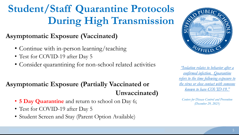### **Student/Staff Quarantine Protocols During High Transmission**

#### **Asymptomatic Exposure (Vaccinated)**

- Continue with in-person learning/teaching
- Test for COVID-19 after Day 5
- Consider quarantining for non-school related activities

#### **Asymptomatic Exposure (Partially Vaccinated or Unvaccinated)**

- **5 Day Quarantine** and return to school on Day 6;
- Test for COVID-19 after Day 5
- Student Screen and Stay (Parent Option Available)



*"Isolation relates to behavior after a confirmed infection. Quarantine [refers to the time following exposure to](https://www.cdc.gov/media/releases/2021/s1227-isolation-quarantine-guidance.html)  the virus or close contact with someone known to have COVID-19."*

*Centers for Disease Control and Prevention (December 29, 2021)*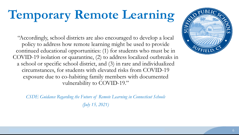## **Temporary Remote Learning**

"Accordingly, school districts are also encouraged to develop a local policy to address how remote learning might be used to provide continued educational opportunities: (1) for students who must be in COVID-19 isolation or quarantine, (2) to address localized outbreaks in a school or specific school district, and (3) in rare and individualized circumstances, for students with elevated risks from COVID-19 exposure due to co-habiting family members with documented vulnerability to COVID-19."

*CSDE Guidance Regarding the Future of Remote Learning in Connecticut Schools (July 15, 2021)*

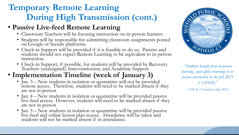### **Temporary Remote Learning During High Transmission (cont.)**

#### • **Passive Live-feed Remote Learning**

- Classroom Teachers will be focusing instruction on in-person learners
- Students will be responsible for submitting classroom assignments posted on Google or Seesaw platforms.
- Check-in Support will be provided if it is feasible to do so. Parents and students should not expect Remote Learning to be equivalent to in-person instruction.
- Check-in Support, if possible, for students will be provided by Recovery Teachers (unassigned), Interventionists, and Academic Support

### • **Implementation Timeline (week of January 3)**

- Jan. 3 New students in isolation or quarantine will not be provided remote access. Therefore, students will need to be marked absent if they are not in-person
- Jan. 4 New students in isolation or quarantine will be provided passive live-feed access. However, students will need to be marked absent if they are not in-person
- Jan. 5 New students in isolation or quarantine will be provided passive live-feed and online lesson plan access. Attendance will be taken and students will not be marked absent if in attendance.



*"Students benefit from in-person learning, and safely returning to inperson instruction in the fall 2021 is a priority."*

*- CDC K-12 Guidance (July 2021)*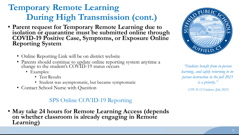### **Temporary Remote Learning During High Transmission (cont.)**

- **Parent request for Temporary Remote Learning due to isolation or quarantine must be submitted online through COVID-19 Positive Case, Symptoms, or Exposure Online Reporting System**
	- Online Reporting Link will be on district website
	- Parents should continue to update online reporting system anytime a change to the student's COVID-19 status occurs
		- Examples:
			- Test Results
			- Student was asymptomatic, but became symptomatic
	- Contact School Nurse with Question

#### SPS Online COVID-19 Reporting

• **May take 24 hours for Remote Learning Access (depends on whether classroom is already engaging in Remote Learning)**



*"Students benefit from in-person learning, and safely returning to inperson instruction in the fall 2021 is a priority."*

*- CDC K-12 Guidance (July 2021)*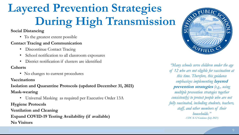## **Layered Prevention Strategies During High Transmission**

#### **Social Distancing**

• To the greatest extent possible

#### **Contact Tracing and Communication**

- Discontinue Contact Tracing
- School notification to all classroom exposures
- District notification if clusters are identified

#### **Cohorts**

• No changes to current procedures

#### **Vaccinations**

#### **Isolation and Quarantine Protocols (updated December 31, 2021)**

**Mask-wearing**

• Universal Masking as required per Executive Order 13A

**Hygiene Protocols**

**Ventilation and Cleaning Expand COVID-19 Testing Availability (if available) No Visitors**



*"Many schools serve children under the age of 12 who are not eligible for vaccination at this time. Therefore, this guidance emphasizes implementing* **layered prevention strategies** *(e.g., using multiple prevention strategies together consistently) to protect people who are not fully vaccinated, including students, teachers, staff, and other members of their households." - CDC K-12 Guidance (July 2021)*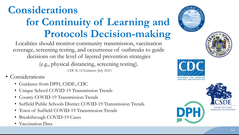### **Considerations for Continuity of Learning and Protocols Decision-making**

Localities should monitor community transmission, vaccination coverage, screening testing, and occurrence of outbreaks to guide decisions on the level of layered prevention strategies

(e.g., physical distancing, screening testing).

- CDC K-12 Guidance (July 2021)

- Considerations
	- Guidance from DPH, CSDE, CDC
	- Unique School COVID-19 Transmission Trends
	- County COVID-19 Transmission Trends
	- Suffield Public Schools District COVID-19 Transmission Trends
	- Town of Suffield COVID-19 Transmission Trends
	- Breakthrough COVID-19 Cases
	- Vaccination Data